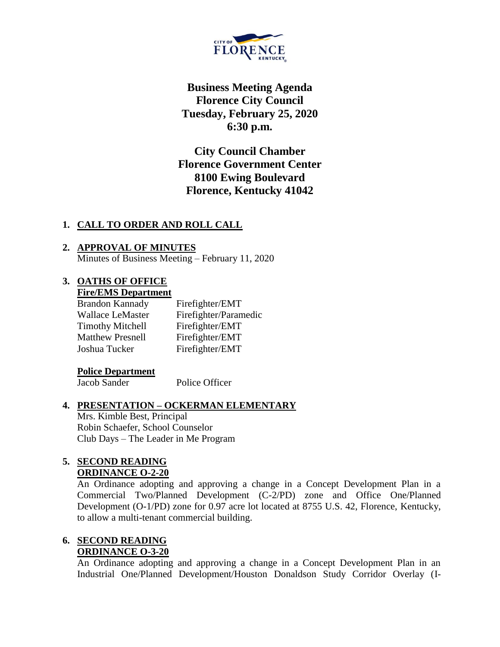

**Business Meeting Agenda Florence City Council Tuesday, February 25, 2020 6:30 p.m.**

**City Council Chamber Florence Government Center 8100 Ewing Boulevard Florence, Kentucky 41042**

# **1. CALL TO ORDER AND ROLL CALL**

## **2. APPROVAL OF MINUTES** Minutes of Business Meeting – February 11, 2020

## **3. OATHS OF OFFICE Fire/EMS Department**

| <b>Brandon Kannady</b>  | Firefighter/EMT       |
|-------------------------|-----------------------|
| <b>Wallace LeMaster</b> | Firefighter/Paramedic |
| <b>Timothy Mitchell</b> | Firefighter/EMT       |
| <b>Matthew Presnell</b> | Firefighter/EMT       |
| Joshua Tucker           | Firefighter/EMT       |

## **Police Department**

Jacob Sander Police Officer

# **4. PRESENTATION – OCKERMAN ELEMENTARY**

Mrs. Kimble Best, Principal Robin Schaefer, School Counselor Club Days – The Leader in Me Program

## **5. SECOND READING ORDINANCE O-2-20**

An Ordinance adopting and approving a change in a Concept Development Plan in a Commercial Two/Planned Development (C-2/PD) zone and Office One/Planned Development (O-1/PD) zone for 0.97 acre lot located at 8755 U.S. 42, Florence, Kentucky, to allow a multi-tenant commercial building.

## **6. SECOND READING ORDINANCE O-3-20**

An Ordinance adopting and approving a change in a Concept Development Plan in an Industrial One/Planned Development/Houston Donaldson Study Corridor Overlay (I-